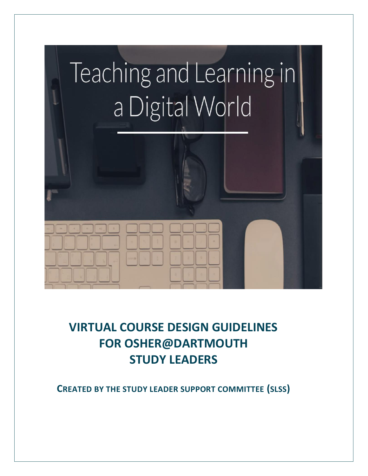# Teaching and Learning in a Digital World

# **VIRTUAL COURSE DESIGN GUIDELINES FOR OSHER@DARTMOUTH STUDY LEADERS**

**CREATED BY THE STUDY LEADER SUPPORT COMMITTEE (SLSS)**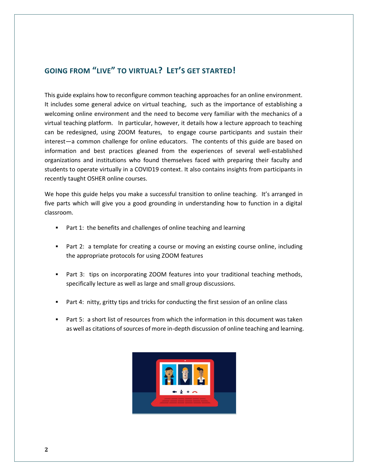## **GOING FROM "LIVE" TO VIRTUAL? LET'S GET STARTED!**

This guide explains how to reconfigure common teaching approaches for an online environment. It includes some general advice on virtual teaching, such as the importance of establishing a welcoming online environment and the need to become very familiar with the mechanics of a virtual teaching platform. In particular, however, it details how a lecture approach to teaching can be redesigned, using ZOOM features, to engage course participants and sustain their interest—a common challenge for online educators. The contents of this guide are based on information and best practices gleaned from the experiences of several well-established organizations and institutions who found themselves faced with preparing their faculty and students to operate virtually in a COVID19 context. It also contains insights from participants in recently taught OSHER online courses.

We hope this guide helps you make a successful transition to online teaching. It's arranged in five parts which will give you a good grounding in understanding how to function in a digital classroom.

- Part 1: the benefits and challenges of online teaching and learning
- Part 2: a template for creating a course or moving an existing course online, including the appropriate protocols for using ZOOM features
- Part 3: tips on incorporating ZOOM features into your traditional teaching methods, specifically lecture as well as large and small group discussions.
- Part 4: nitty, gritty tips and tricks for conducting the first session of an online class
- Part 5: a short list of resources from which the information in this document was taken as well as citations of sources of more in-depth discussion of online teaching and learning.

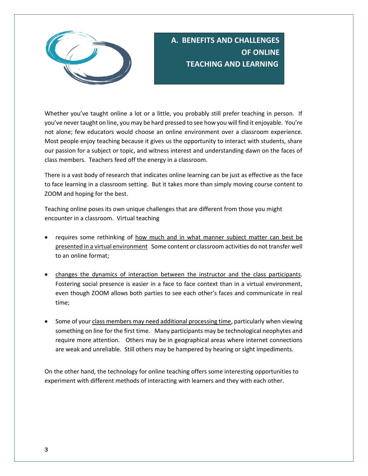

## **A. BENEFITS AND CHALLENGES OF ONLINE TEACHING AND LEARNING**

Whether you've taught online a lot or a little, you probably still prefer teaching in person. If you've never taught on line, you may be hard pressed to see how you will find it enjoyable. You're not alone; few educators would choose an online environment over a classroom experience. Most people enjoy teaching because it gives us the opportunity to interact with students, share our passion for a subject or topic, and witness interest and understanding dawn on the faces of class members. Teachers feed off the energy in a classroom.

There is a vast body of research that indicates online learning can be just as effective as the face to face learning in a classroom setting. But it takes more than simply moving course content to ZOOM and hoping for the best.

Teaching online poses its own unique challenges that are different from those you might encounter in a classroom. Virtual teaching

- requires some rethinking of how much and in what manner subject matter can best be presented in a virtual environment Some content or classroom activities do not transfer well to an online format;
- changes the dynamics of interaction between the instructor and the class participants. Fostering social presence is easier in a face to face context than in a virtual environment, even though ZOOM allows both parties to see each other's faces and communicate in real time;
- Some of your class members may need additional processing time, particularly when viewing something on line for the first time. Many participants may be technological neophytes and require more attention. Others may be in geographical areas where internet connections are weak and unreliable. Still others may be hampered by hearing or sight impediments.

On the other hand, the technology for online teaching offers some interesting opportunities to experiment with different methods of interacting with learners and they with each other.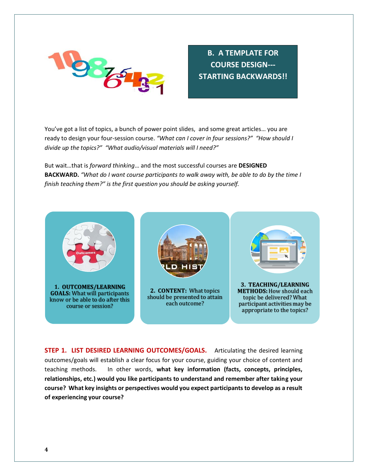

**B. A TEMPLATE FOR COURSE DESIGN--- STARTING BACKWARDS!!**

You've got a list of topics, a bunch of power point slides, and some great articles… you are ready to design your four-session course. *"What can I cover in four sessions?" "How should I divide up the topics?" "What audio/visual materials will I need?"*

But wait…that is *forward thinking*… and the most successful courses are **DESIGNED BACKWARD.** *"What do I want course participants to walk away with, be able to do by the time I finish teaching them?" is the first question you should be asking yourself.* 



**STEP 1. LIST DESIRED LEARNING OUTCOMES/GOALS.** Articulating the desired learning outcomes/goals will establish a clear focus for your course, guiding your choice of content and teaching methods. In other words, **what key information (facts, concepts, principles, relationships, etc.) would you like participants to understand and remember after taking your course? What key insights or perspectives would you expect participants to develop as a result of experiencing your course?**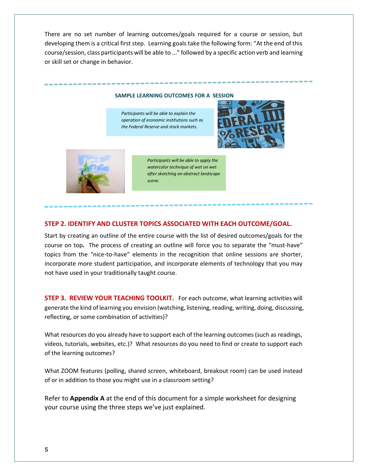There are no set number of learning outcomes/goals required for a course or session, but developing them is a critical first step. Learning goals take the following form: "At the end of this course/session, class participants will be able to ..." followed by a specific action verb and learning or skill set or change in behavior.

#### **SAMPLE LEARNING OUTCOMES FOR A SESSION**

*Participants will be able to explain the operation of economic institutions such as the Federal Reserve and stock markets.*



-----------



*Participants will be able to apply the watercolor technique of wet on wet after sketching an abstract landscape scene.* 

#### **STEP 2. IDENTIFY AND CLUSTER TOPICS ASSOCIATED WITH EACH OUTCOME/GOAL.**

Start by creating an outline of the entire course with the list of desired outcomes/goals for the course on top**.** The process of creating an outline will force you to separate the "must-have" topics from the "nice-to-have" elements in the recognition that online sessions are shorter, incorporate more student participation, and incorporate elements of technology that you may not have used in your traditionally taught course.

**STEP 3. REVIEW YOUR TEACHING TOOLKIT.** For each outcome, what learning activities will generate the kind of learning you envision (watching, listening, reading, writing, doing, discussing, reflecting, or some combination of activities)?

What resources do you already have to support each of the learning outcomes (such as readings, videos, tutorials, websites, etc.)? What resources do you need to find or create to support each of the learning outcomes?

What ZOOM features (polling, shared screen, whiteboard, breakout room) can be used instead of or in addition to those you might use in a classroom setting?

Refer to **Appendix A** at the end of this document for a simple worksheet for designing your course using the three steps we've just explained.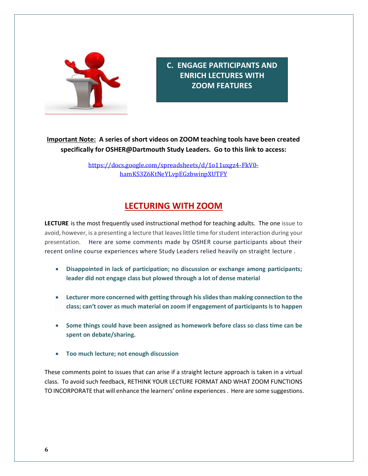

**C. ENGAGE PARTICIPANTS AND ENRICH LECTURES WITH ZOOM FEATURES**

### **Important Note: A series of short videos on ZOOM teaching tools have been created specifically for OSHER@Dartmouth Study Leaders. Go to this link to access:**

[https://docs.google.com/spreadsheets/d/1o11uxgz4-FkV0](https://docs.google.com/spreadsheets/d/1o11uxgz4-FkV0-hamKS3Z6KtNeYLvpEGzbwinpXUTFY) [hamKS3Z6KtNeYLvpEGzbwinpXUTFY](https://docs.google.com/spreadsheets/d/1o11uxgz4-FkV0-hamKS3Z6KtNeYLvpEGzbwinpXUTFY)

## **LECTURING WITH ZOOM**

**LECTURE** is the most frequently used instructional method for teaching adults. The one issue to avoid, however, is a presenting a lecture that leaves little time for student interaction during your presentation. Here are some comments made by OSHER course participants about their recent online course experiences where Study Leaders relied heavily on straight lecture .

- **Disappointed in lack of participation; no discussion or exchange among participants; leader did not engage class but plowed through a lot of dense material**
- **Lecturer more concerned with getting through his slides than making connection to the class; can't cover as much material on zoom if engagement of participants is to happen**
- **Some things could have been assigned as homework before class so class time can be spent on debate/sharing.**
- **Too much lecture; not enough discussion**

These comments point to issues that can arise if a straight lecture approach is taken in a virtual class. To avoid such feedback, RETHINK YOUR LECTURE FORMAT AND WHAT ZOOM FUNCTIONS TO INCORPORATE that will enhance the learners' online experiences . Here are some suggestions.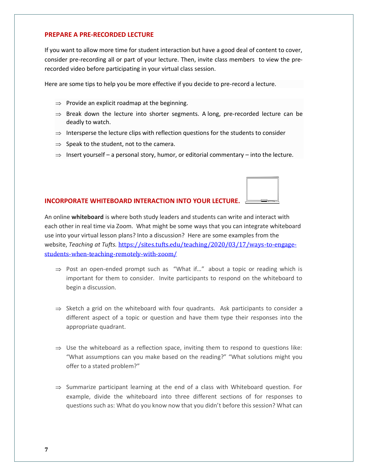#### **PREPARE A PRE-RECORDED LECTURE**

If you want to allow more time for student interaction but have a good deal of content to cover, consider pre-recording all or part of your lecture. Then, invite class members to view the prerecorded video before participating in your virtual class session.

Here are some tips to help you be more effective if you decide to pre-record a lecture.

- $\Rightarrow$  Provide an explicit roadmap at the beginning.
- $\Rightarrow$  Break down the lecture into shorter segments. A long, pre-recorded lecture can be deadly to watch.
- $\Rightarrow$  Intersperse the lecture clips with reflection questions for the students to consider
- $\Rightarrow$  Speak to the student, not to the camera.
- $\Rightarrow$  Insert yourself a personal story, humor, or editorial commentary into the lecture.

#### **INCORPORATE WHITEBOARD INTERACTION INTO YOUR LECTURE.**

An online **whiteboard** is where both study leaders and students can write and interact with each other in real time via Zoom. What might be some ways that you can integrate whiteboard use into your virtual lesson plans? Into a discussion? Here are some examples from the website, *Teaching at Tufts.* [https://sites.tufts.edu/teaching/2020/03/17/ways-to-engage](https://sites.tufts.edu/teaching/2020/03/17/ways-to-engage-students-when-teaching-remotely-with-zoom/)[students-when-teaching-remotely-with-zoom/](https://sites.tufts.edu/teaching/2020/03/17/ways-to-engage-students-when-teaching-remotely-with-zoom/)

- $\Rightarrow$  Post an open-ended prompt such as "What if..." about a topic or reading which is important for them to consider. Invite participants to respond on the whiteboard to begin a discussion.
- $\Rightarrow$  Sketch a grid on the whiteboard with four quadrants. Ask participants to consider a different aspect of a topic or question and have them type their responses into the appropriate quadrant.
- $\Rightarrow$  Use the whiteboard as a reflection space, inviting them to respond to questions like: "What assumptions can you make based on the reading?" "What solutions might you offer to a stated problem?"
- $\Rightarrow$  Summarize participant learning at the end of a class with Whiteboard question. For example, divide the whiteboard into three different sections of for responses to questions such as: What do you know now that you didn't before this session? What can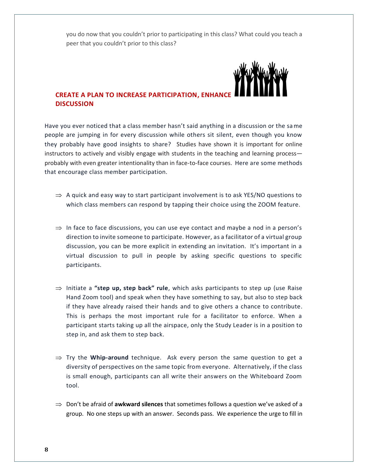you do now that you couldn't prior to participating in this class? What could you teach a peer that you couldn't prior to this class?



#### **CREATE A PLAN TO INCREASE PARTICIPATION, ENHANCE DISCUSSION**

Have you ever noticed that a class member hasn't said anything in a discussion or the same people are jumping in for every discussion while others sit silent, even though you know they probably have good insights to share? Studies have shown it is important for online instructors to actively and visibly engage with students in the teaching and learning process probably with even greater intentionality than in face-to-face courses. Here are some methods that encourage class member participation.

- $\Rightarrow$  A quick and easy way to start participant involvement is to ask YES/NO questions to which class members can respond by tapping their choice using the ZOOM feature.
- $\Rightarrow$  In face to face discussions, you can use eye contact and maybe a nod in a person's direction to invite someone to participate. However, as a facilitator of a virtual group discussion, you can be more explicit in extending an invitation. It's important in a virtual discussion to pull in people by asking specific questions to specific participants.
- $\Rightarrow$  Initiate a "step up, step back" rule, which asks participants to step up (use Raise Hand Zoom tool) and speak when they have something to say, but also to step back if they have already raised their hands and to give others a chance to contribute. This is perhaps the most important rule for a facilitator to enforce. When a participant starts taking up all the airspace, only the Study Leader is in a position to step in, and ask them to step back.
- $\Rightarrow$  Try the **Whip-around** technique. Ask every person the same question to get a diversity of perspectives on the same topic from everyone. Alternatively, if the class is small enough, participants can all write their answers on the Whiteboard Zoom tool.
- $\Rightarrow$  Don't be afraid of **awkward silences** that sometimes follows a question we've asked of a group. No one steps up with an answer. Seconds pass. We experience the urge to fill in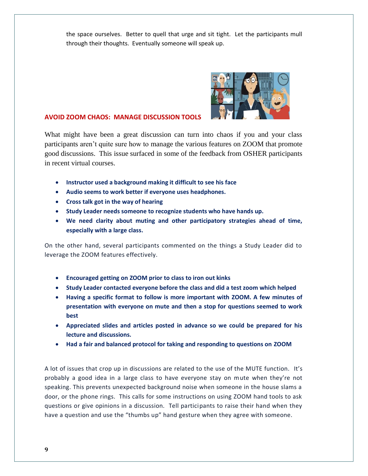the space ourselves. Better to quell that urge and sit tight. Let the participants mull through their thoughts. Eventually someone will speak up.



#### **AVOID ZOOM CHAOS: MANAGE DISCUSSION TOOLS**

What might have been a great discussion can turn into chaos if you and your class participants aren't quite sure how to manage the various features on ZOOM that promote good discussions. This issue surfaced in some of the feedback from OSHER participants in recent virtual courses.

- **Instructor used a background making it difficult to see his face**
- **Audio seems to work better if everyone uses headphones.**
- **Cross talk got in the way of hearing**
- **Study Leader needs someone to recognize students who have hands up.**
- **We need clarity about muting and other participatory strategies ahead of time, especially with a large class.**

On the other hand, several participants commented on the things a Study Leader did to leverage the ZOOM features effectively.

- **Encouraged getting on ZOOM prior to class to iron out kinks**
- **Study Leader contacted everyone before the class and did a test zoom which helped**
- **Having a specific format to follow is more important with ZOOM. A few minutes of presentation with everyone on mute and then a stop for questions seemed to work best**
- **Appreciated slides and articles posted in advance so we could be prepared for his lecture and discussions.**
- **Had a fair and balanced protocol for taking and responding to questions on ZOOM**

A lot of issues that crop up in discussions are related to the use of the MUTE function. It's probably a good idea in a large class to have everyone stay on mute when they're not speaking. This prevents unexpected background noise when someone in the house slams a door, or the phone rings. This calls for some instructions on using ZOOM hand tools to ask questions or give opinions in a discussion. Tell participants to raise their hand when they have a question and use the "thumbs up" hand gesture when they agree with someone.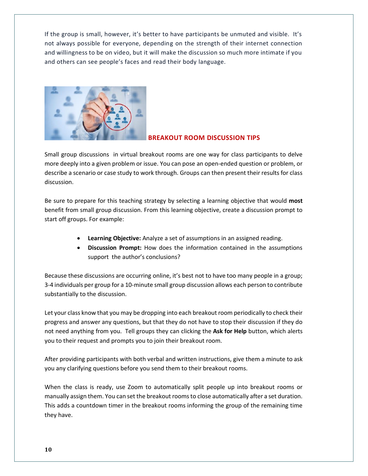If the group is small, however, it's better to have participants be unmuted and visible. It's not always possible for everyone, depending on the strength of their internet connection and willingness to be on video, but it will make the discussion so much more intimate if you and others can see people's faces and read their body language.



#### **BREAKOUT ROOM DISCUSSION TIPS**

Small group discussions in virtual breakout rooms are one way for class participants to delve more deeply into a given problem or issue. You can pose an open-ended question or problem, or describe a scenario or case study to work through. Groups can then present their results for class discussion.

Be sure to prepare for this teaching strategy by selecting a learning objective that would **most** benefit from small group discussion. From this learning objective, create a discussion prompt to start off groups. For example:

- **Learning Objective:** Analyze a set of assumptions in an assigned reading.
- **Discussion Prompt:** How does the information contained in the assumptions support the author's conclusions?

Because these discussions are occurring online, it's best not to have too many people in a group; 3-4 individuals per group for a 10-minute small group discussion allows each person to contribute substantially to the discussion.

Let your class know that you may be dropping into each breakout room periodically to check their progress and answer any questions, but that they do not have to stop their discussion if they do not need anything from you. Tell groups they can clicking the **Ask for Help** button, which alerts you to their request and prompts you to join their breakout room.

After providing participants with both verbal and written instructions, give them a minute to ask you any clarifying questions before you send them to their breakout rooms.

When the class is ready, use Zoom to automatically split people up into breakout rooms or manually assign them. You can set the breakout roomsto close automatically after a set duration. This adds a countdown timer in the breakout rooms informing the group of the remaining time they have.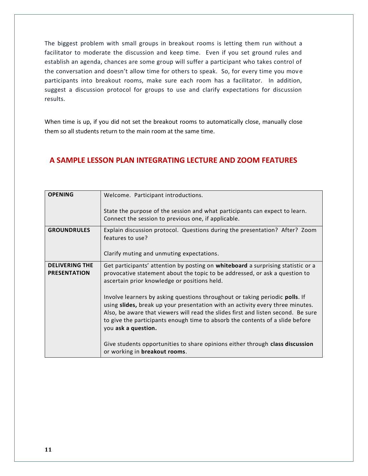The biggest problem with small groups in breakout rooms is letting them run without a facilitator to moderate the discussion and keep time. Even if you set ground rules and establish an agenda, chances are some group will suffer a participant who takes control of the conversation and doesn't allow time for others to speak. So, for every time you mov e participants into breakout rooms, make sure each room has a facilitator. In addition, suggest a discussion protocol for groups to use and clarify expectations for discussion results.

When time is up, if you did not set the breakout rooms to automatically close, manually close them so all students return to the main room at the same time.

## **A SAMPLE LESSON PLAN INTEGRATING LECTURE AND ZOOM FEATURES**

| <b>OPENING</b>                               | Welcome. Participant introductions.                                                                                                                                                                                                                                                                                                                         |  |
|----------------------------------------------|-------------------------------------------------------------------------------------------------------------------------------------------------------------------------------------------------------------------------------------------------------------------------------------------------------------------------------------------------------------|--|
|                                              | State the purpose of the session and what participants can expect to learn.<br>Connect the session to previous one, if applicable.                                                                                                                                                                                                                          |  |
| <b>GROUNDRULES</b>                           | Explain discussion protocol. Questions during the presentation? After? Zoom<br>features to use?                                                                                                                                                                                                                                                             |  |
|                                              | Clarify muting and unmuting expectations.                                                                                                                                                                                                                                                                                                                   |  |
| <b>DELIVERING THE</b><br><b>PRESENTATION</b> | Get participants' attention by posting on whiteboard a surprising statistic or a<br>provocative statement about the topic to be addressed, or ask a question to<br>ascertain prior knowledge or positions held.                                                                                                                                             |  |
|                                              | Involve learners by asking questions throughout or taking periodic polls. If<br>using slides, break up your presentation with an activity every three minutes.<br>Also, be aware that viewers will read the slides first and listen second. Be sure<br>to give the participants enough time to absorb the contents of a slide before<br>you ask a question. |  |
|                                              | Give students opportunities to share opinions either through class discussion<br>or working in breakout rooms.                                                                                                                                                                                                                                              |  |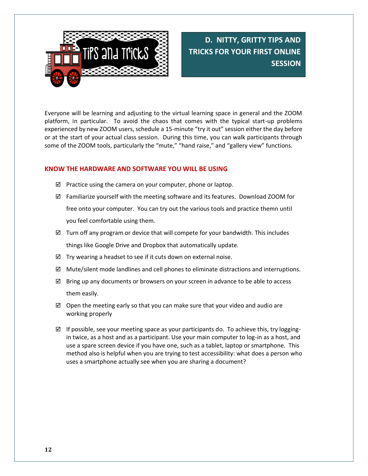

**D. NITTY, GRITTY TIPS AND TRICKS FOR YOUR FIRST ONLINE SESSION**

Everyone will be learning and adjusting to the virtual learning space in general and the ZOOM platform, in particular. To avoid the chaos that comes with the typical start-up problems experienced by new ZOOM users, schedule a 15-minute "try it out" session either the day before or at the start of your actual class session. During this time, you can walk participants through some of the ZOOM tools, particularly the "mute," "hand raise," and "gallery view" functions.

#### **KNOW THE HARDWARE AND SOFTWARE YOU WILL BE USING**

- $\boxtimes$  Practice using the camera on your computer, phone or laptop.
- $\boxtimes$  Familiarize yourself with the meeting software and its features. Download ZOOM for free onto your computer. You can try out the various tools and practice themn until you feel comfortable using them.
- $\boxtimes$  Turn off any program or device that will compete for your bandwidth. This includes things like Google Drive and Dropbox that automatically update.
- $\boxtimes$  Try wearing a headset to see if it cuts down on external noise.
- $\boxtimes$  Mute/silent mode landlines and cell phones to eliminate distractions and interruptions.
- $\boxtimes$  Bring up any documents or browsers on your screen in advance to be able to access them easily.
- $\boxtimes$  Open the meeting early so that you can make sure that your video and audio are working properly
- $\boxtimes$  If possible, see your meeting space as your participants do. To achieve this, try loggingin twice, as a host and as a participant. Use your main computer to log-in as a host, and use a spare screen device if you have one, such as a tablet, laptop or smartphone. This method also is helpful when you are trying to test accessibility: what does a person who uses a smartphone actually see when you are sharing a document?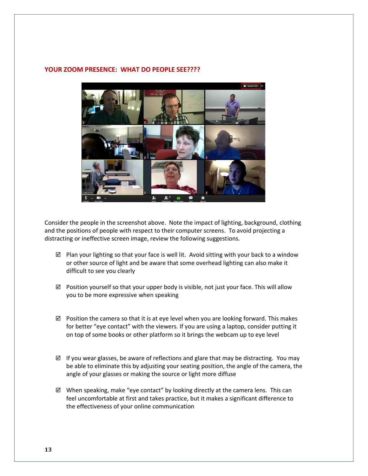#### **YOUR ZOOM PRESENCE: WHAT DO PEOPLE SEE????**



Consider the people in the screenshot above. Note the impact of lighting, background, clothing and the positions of people with respect to their computer screens. To avoid projecting a distracting or ineffective screen image, review the following suggestions.

- $\boxtimes$  Plan your lighting so that your face is well lit. Avoid sitting with your back to a window or other source of light and be aware that some overhead lighting can also make it difficult to see you clearly
- $\boxtimes$  Position yourself so that your upper body is visible, not just your face. This will allow you to be more expressive when speaking
- $\boxtimes$  Position the camera so that it is at eye level when you are looking forward. This makes for better "eye contact" with the viewers. If you are using a laptop, consider putting it on top of some books or other platform so it brings the webcam up to eye level
- $\boxtimes$  If you wear glasses, be aware of reflections and glare that may be distracting. You may be able to eliminate this by adjusting your seating position, the angle of the camera, the angle of your glasses or making the source or light more diffuse
- $\boxtimes$  When speaking, make "eye contact" by looking directly at the camera lens. This can feel uncomfortable at first and takes practice, but it makes a significant difference to the effectiveness of your online communication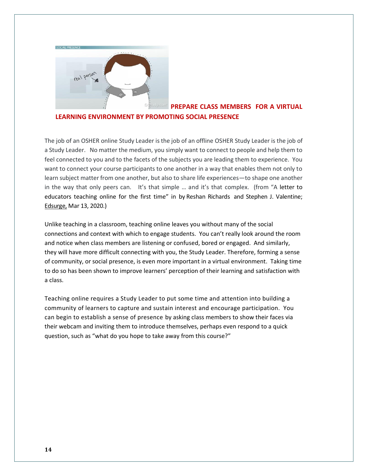

#### g **PREPARE CLASS MEMBERS FOR A VIRTUAL LEARNING ENVIRONMENT BY PROMOTING SOCIAL PRESENCE**

The job of an OSHER online Study Leader is the job of an offline OSHER Study Leader is the job of a Study Leader. No matter the medium, you simply want to connect to people and help them to feel connected to you and to the facets of the subjects you are leading them to experience. You want to connect your course participants to one another in a way that enables them not only to learn subject matter from one another, but also to share life experiences—to shape one another in the way that only peers can. It's that simple … and it's that complex. (from "A letter to educators teaching online for the first time" in by Reshan Richards and Stephen J. Valentine; Edsurge, Mar 13, 2020.)

Unlike teaching in a classroom, teaching online leaves you without many of the social connections and context with which to engage students. You can't really look around the room and notice when class members are listening or confused, bored or engaged. And similarly, they will have more difficult connecting with you, the Study Leader. Therefore, forming a sense of community, or social presence, is even more important in a virtual environment. Taking time to do so has been shown to improve learners' perception of their learning and satisfaction with a class.

Teaching online requires a Study Leader to put some time and attention into building a community of learners to capture and sustain interest and encourage participation. You can begin to establish a sense of presence by asking class members to show their faces via their webcam and inviting them to introduce themselves, perhaps even respond to a quick question, such as "what do you hope to take away from this course?"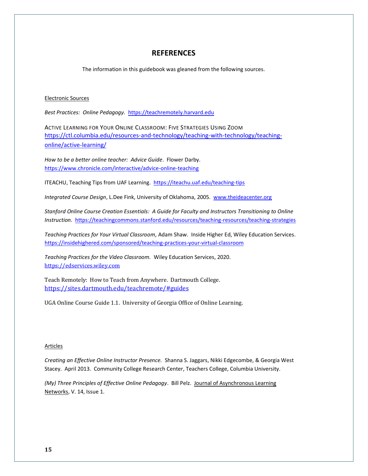#### **REFERENCES**

The information in this guidebook was gleaned from the following sources.

#### Electronic Sources

*Best Practices: Online Pedagogy.* [https://teachremotely.harvard.edu](https://teachremotely.harvard.edu/)

ACTIVE LEARNING FOR YOUR ONLINE CLASSROOM: FIVE STRATEGIES USING ZOOM [https://ctl.columbia.edu/resources-and-technology/teaching-with-technology/teaching](https://ctl.columbia.edu/resources-and-technology/teaching-with-technology/teaching-online/active-learning/)[online/active-learning/](https://ctl.columbia.edu/resources-and-technology/teaching-with-technology/teaching-online/active-learning/)

*How to be a better online teacher: Advice Guide*. Flower Darby. <https://www.chronicle.com/interactive/advice-online-teaching>

ITEACHU, Teaching Tips from UAF Learning.<https://iteachu.uaf.edu/teaching-tips>

*Integrated Course Design*, L.Dee Fink, University of Oklahoma, 2005. [www.theideacenter.org](http://www.theideacenter.org/)

*Stanford Online Course Creation Essentials: A Guide for Faculty and Instructors Transitioning to Online Instruction.*<https://teachingcommons.stanford.edu/resources/teaching-resources/teaching-strategies>

*Teaching Practices for Your Virtual Classroom,* Adam Shaw. Inside Higher Ed, Wiley Education Services. <https://insidehighered.com/sponsored/teaching-practices-your-virtual-classroom>

*Teaching Practices for the Video Classroom.* Wiley Education Services, 2020. [https://edservices.wiley.com](https://edservices.wiley.com/)

Teach Remotely: How to Teach from Anywhere. Dartmouth College. <https://sites.dartmouth.edu/teachremote/#guides>

UGA Online Course Guide 1.1. University of Georgia Office of Online Learning.

#### **Articles**

*Creating an Effective Online Instructor Presence.* Shanna S. Jaggars, Nikki Edgecombe, & Georgia West Stacey. April 2013. Community College Research Center, Teachers College, Columbia University.

*(My) Three Principles of Effective Online Pedagogy*. Bill Pelz. Journal of Asynchronous Learning Networks, V. 14, Issue 1.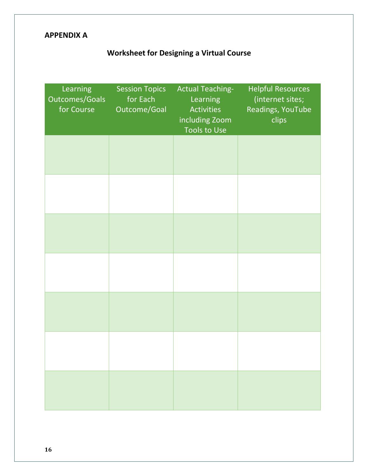## **APPENDIX A**

## **Worksheet for Designing a Virtual Course**

| Learning<br><b>Outcomes/Goals</b><br>for Course | <b>Session Topics</b><br>for Each<br>Outcome/Goal | <b>Actual Teaching-</b><br>Learning<br><b>Activities</b><br>including Zoom<br><b>Tools to Use</b> | <b>Helpful Resources</b><br>(internet sites;<br>Readings, YouTube<br>clips |
|-------------------------------------------------|---------------------------------------------------|---------------------------------------------------------------------------------------------------|----------------------------------------------------------------------------|
|                                                 |                                                   |                                                                                                   |                                                                            |
|                                                 |                                                   |                                                                                                   |                                                                            |
|                                                 |                                                   |                                                                                                   |                                                                            |
|                                                 |                                                   |                                                                                                   |                                                                            |
|                                                 |                                                   |                                                                                                   |                                                                            |
|                                                 |                                                   |                                                                                                   |                                                                            |
|                                                 |                                                   |                                                                                                   |                                                                            |